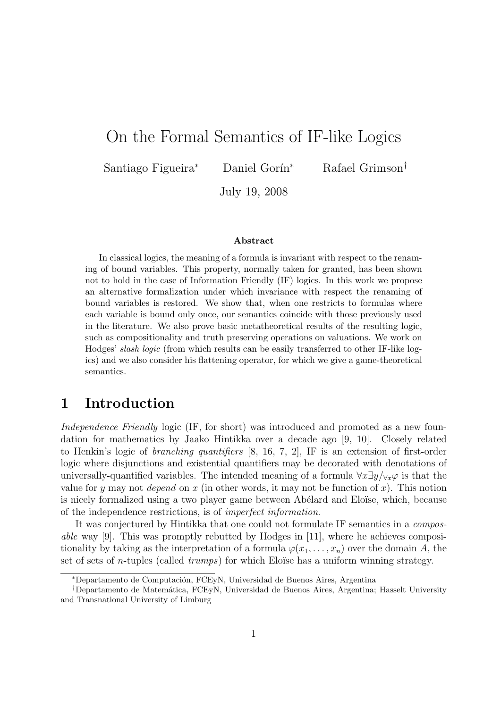# On the Formal Semantics of IF-like Logics

Santiago Figueira<sup>∗</sup> Daniel Gorín<sup>∗</sup> Rafael Grimson<sup>†</sup>

July 19, 2008

#### Abstract

In classical logics, the meaning of a formula is invariant with respect to the renaming of bound variables. This property, normally taken for granted, has been shown not to hold in the case of Information Friendly (IF) logics. In this work we propose an alternative formalization under which invariance with respect the renaming of bound variables is restored. We show that, when one restricts to formulas where each variable is bound only once, our semantics coincide with those previously used in the literature. We also prove basic metatheoretical results of the resulting logic, such as compositionality and truth preserving operations on valuations. We work on Hodges' slash logic (from which results can be easily transferred to other IF-like logics) and we also consider his flattening operator, for which we give a game-theoretical semantics.

# 1 Introduction

Independence Friendly logic (IF, for short) was introduced and promoted as a new foundation for mathematics by Jaako Hintikka over a decade ago [9, 10]. Closely related to Henkin's logic of *branching quantifiers* [8, 16, 7, 2]. IF is an extension of first-order logic where disjunctions and existential quantifiers may be decorated with denotations of universally-quantified variables. The intended meaning of a formula  $\forall x \exists y / \forall x \varphi$  is that the value for y may not *depend* on x (in other words, it may not be function of x). This notion is nicely formalized using a two player game between Abélard and Eloïse, which, because of the independence restrictions, is of imperfect information.

It was conjectured by Hintikka that one could not formulate IF semantics in a composable way [9]. This was promptly rebutted by Hodges in [11], where he achieves compositionality by taking as the interpretation of a formula  $\varphi(x_1, \ldots, x_n)$  over the domain A, the set of sets of *n*-tuples (called  $trumps$ ) for which Eloïse has a uniform winning strategy.

<sup>∗</sup>Departamento de Computaci´on, FCEyN, Universidad de Buenos Aires, Argentina

<sup>†</sup>Departamento de Matem´atica, FCEyN, Universidad de Buenos Aires, Argentina; Hasselt University and Transnational University of Limburg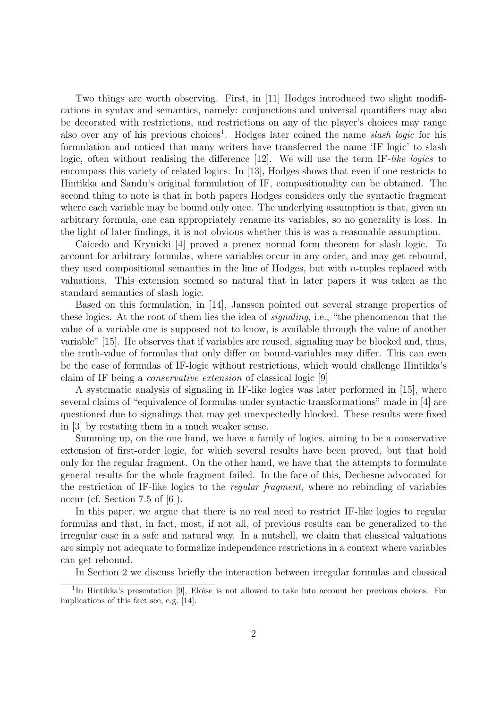Two things are worth observing. First, in [11] Hodges introduced two slight modifications in syntax and semantics, namely: conjunctions and universal quantifiers may also be decorated with restrictions, and restrictions on any of the player's choices may range also over any of his previous choices<sup>1</sup>. Hodges later coined the name *slash logic* for his formulation and noticed that many writers have transferred the name 'IF logic' to slash logic, often without realising the difference [12]. We will use the term IF-like logics to encompass this variety of related logics. In [13], Hodges shows that even if one restricts to Hintikka and Sandu's original formulation of IF, compositionality can be obtained. The second thing to note is that in both papers Hodges considers only the syntactic fragment where each variable may be bound only once. The underlying assumption is that, given an arbitrary formula, one can appropriately rename its variables, so no generality is loss. In the light of later findings, it is not obvious whether this is was a reasonable assumption.

Caicedo and Krynicki [4] proved a prenex normal form theorem for slash logic. To account for arbitrary formulas, where variables occur in any order, and may get rebound, they used compositional semantics in the line of Hodges, but with  $n$ -tuples replaced with valuations. This extension seemed so natural that in later papers it was taken as the standard semantics of slash logic.

Based on this formulation, in [14], Janssen pointed out several strange properties of these logics. At the root of them lies the idea of signaling, i.e., "the phenomenon that the value of a variable one is supposed not to know, is available through the value of another variable" [15]. He observes that if variables are reused, signaling may be blocked and, thus, the truth-value of formulas that only differ on bound-variables may differ. This can even be the case of formulas of IF-logic without restrictions, which would challenge Hintikka's claim of IF being a conservative extension of classical logic [9]

A systematic analysis of signaling in IF-like logics was later performed in [15], where several claims of "equivalence of formulas under syntactic transformations" made in [4] are questioned due to signalings that may get unexpectedly blocked. These results were fixed in [3] by restating them in a much weaker sense.

Summing up, on the one hand, we have a family of logics, aiming to be a conservative extension of first-order logic, for which several results have been proved, but that hold only for the regular fragment. On the other hand, we have that the attempts to formulate general results for the whole fragment failed. In the face of this, Dechesne advocated for the restriction of IF-like logics to the regular fragment, where no rebinding of variables occur (cf. Section 7.5 of [6]).

In this paper, we argue that there is no real need to restrict IF-like logics to regular formulas and that, in fact, most, if not all, of previous results can be generalized to the irregular case in a safe and natural way. In a nutshell, we claim that classical valuations are simply not adequate to formalize independence restrictions in a context where variables can get rebound.

In Section 2 we discuss briefly the interaction between irregular formulas and classical

<sup>&</sup>lt;sup>1</sup>In Hintikka's presentation [9], Eloïse is not allowed to take into account her previous choices. For implications of this fact see, e.g. [14].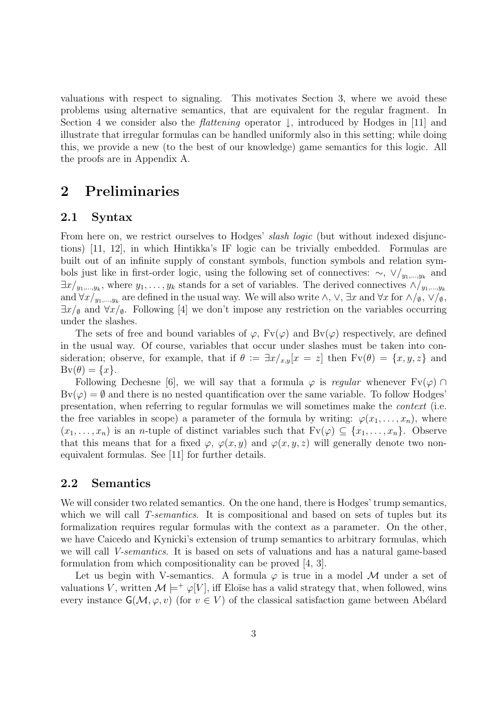valuations with respect to signaling. This motivates Section 3, where we avoid these problems using alternative semantics, that are equivalent for the regular fragment. In Section 4 we consider also the *flattening* operator  $\downarrow$ , introduced by Hodges in [11] and illustrate that irregular formulas can be handled uniformly also in this setting; while doing this, we provide a new (to the best of our knowledge) game semantics for this logic. All the proofs are in Appendix A.

## 2 Preliminaries

#### 2.1 Syntax

From here on, we restrict ourselves to Hodges' *slash logic* (but without indexed disjunctions) [11, 12], in which Hintikka's IF logic can be trivially embedded. Formulas are built out of an infinite supply of constant symbols, function symbols and relation symbols just like in first-order logic, using the following set of connectives:  $\sim$ ,  $\sqrt{y_{1},...,y_{k}}$  and  $\exists x/y_1,...,y_k$ , where  $y_1,...,y_k$  stands for a set of variables. The derived connectives  $\wedge/y_1,...,y_k$ and  $\forall x/y_1,...,y_k$  are defined in the usual way. We will also write  $\wedge$ ,  $\vee$ ,  $\exists x$  and  $\forall x$  for  $\wedge/\emptyset$ ,  $\vee/\emptyset$ ,  $\exists x/\varphi$  and  $\forall x/\varphi$ . Following [4] we don't impose any restriction on the variables occurring under the slashes.

The sets of free and bound variables of  $\varphi$ ,  $Fv(\varphi)$  and  $Bv(\varphi)$  respectively, are defined in the usual way. Of course, variables that occur under slashes must be taken into consideration; observe, for example, that if  $\theta := \exists x /_{x,y}[x = z]$  then  $F_v(\theta) = \{x, y, z\}$  and  $Bv(\theta) = \{x\}.$ 

Following Dechesne [6], we will say that a formula  $\varphi$  is regular whenever  $Fv(\varphi)$  $Bv(\varphi) = \emptyset$  and there is no nested quantification over the same variable. To follow Hodges' presentation, when referring to regular formulas we will sometimes make the context (i.e. the free variables in scope) a parameter of the formula by writing:  $\varphi(x_1, \ldots, x_n)$ , where  $(x_1, \ldots, x_n)$  is an *n*-tuple of distinct variables such that  $F_v(\varphi) \subseteq \{x_1, \ldots, x_n\}$ . Observe that this means that for a fixed  $\varphi$ ,  $\varphi(x, y)$  and  $\varphi(x, y, z)$  will generally denote two nonequivalent formulas. See [11] for further details.

### 2.2 Semantics

We will consider two related semantics. On the one hand, there is Hodges' trump semantics, which we will call T-semantics. It is compositional and based on sets of tuples but its formalization requires regular formulas with the context as a parameter. On the other, we have Caicedo and Kynicki's extension of trump semantics to arbitrary formulas, which we will call V-semantics. It is based on sets of valuations and has a natural game-based formulation from which compositionality can be proved [4, 3].

Let us begin with V-semantics. A formula  $\varphi$  is true in a model M under a set of valuations V, written  $\mathcal{M} \models^+ \varphi[V]$ , iff Eloïse has a valid strategy that, when followed, wins every instance  $\mathsf{G}(\mathcal{M}, \varphi, v)$  (for  $v \in V$ ) of the classical satisfaction game between Abélard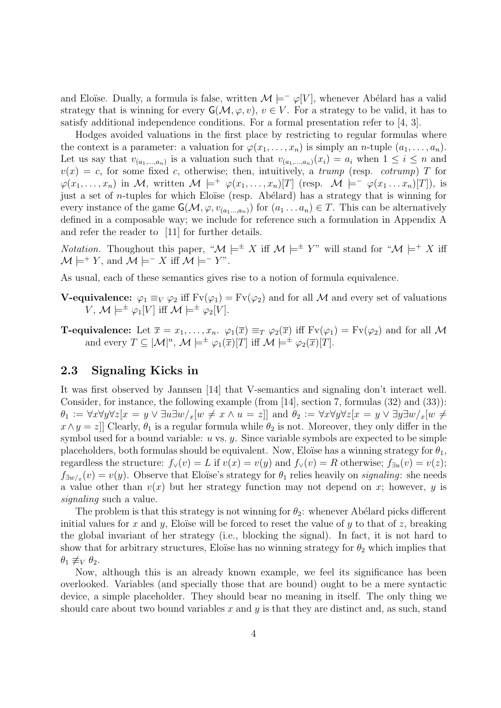and Eloïse. Dually, a formula is false, written  $\mathcal{M} \models^-\varphi[V]$ , whenever Abélard has a valid strategy that is winning for every  $\mathsf{G}(\mathcal{M}, \varphi, v), v \in V$ . For a strategy to be valid, it has to satisfy additional independence conditions. For a formal presentation refer to [4, 3].

Hodges avoided valuations in the first place by restricting to regular formulas where the context is a parameter: a valuation for  $\varphi(x_1,\ldots,x_n)$  is simply an *n*-tuple  $(a_1,\ldots,a_n)$ . Let us say that  $v_{(a_1,...,a_n)}$  is a valuation such that  $v_{(a_1,...,a_n)}(x_i) = a_i$  when  $1 \leq i \leq n$  and  $v(x) = c$ , for some fixed c, otherwise; then, intuitively, a trump (resp. cotrump) T for  $\varphi(x_1,\ldots,x_n)$  in M, written  $\mathcal{M} \models^+ \varphi(x_1,\ldots,x_n)[T]$  (resp.  $\mathcal{M} \models^- \varphi(x_1\ldots x_n)[T]$ ), is just a set of *n*-tuples for which Eloïse (resp. Abélard) has a strategy that is winning for every instance of the game  $\mathsf{G}(\mathcal{M}, \varphi, v_{(a_1...a_n)})$  for  $(a_1... a_n) \in T$ . This can be alternatively defined in a composable way; we include for reference such a formulation in Appendix A and refer the reader to [11] for further details.

*Notation.* Thoughout this paper, " $\mathcal{M} \models^{\pm} X$  iff  $\mathcal{M} \models^{\pm} Y$ " will stand for " $\mathcal{M} \models^{\pm} X$  iff  $\mathcal{M} \models^{+} Y$ , and  $\mathcal{M} \models^{-} X$  iff  $\mathcal{M} \models^{-} Y$ ".

As usual, each of these semantics gives rise to a notion of formula equivalence.

- **V-equivalence:**  $\varphi_1 \equiv_V \varphi_2$  iff  $Fv(\varphi_1) = Fv(\varphi_2)$  and for all M and every set of valuations  $V, M \models^{\pm} \varphi_1[V]$  iff  $M \models^{\pm} \varphi_2[V]$ .
- **T-equivalence:** Let  $\overline{x} = x_1, \ldots, x_n$ .  $\varphi_1(\overline{x}) \equiv_T \varphi_2(\overline{x})$  iff  $Fv(\varphi_1) = Fv(\varphi_2)$  and for all M and every  $T \subseteq |\mathcal{M}|^n$ ,  $\mathcal{M} \models^{\pm} \varphi_1(\overline{x})[T]$  iff  $\mathcal{M} \models^{\pm} \varphi_2(\overline{x})[T]$ .

### 2.3 Signaling Kicks in

It was first observed by Jannsen [14] that V-semantics and signaling don't interact well. Consider, for instance, the following example (from [14], section 7, formulas (32) and (33)):  $\theta_1 := \forall x \forall y \forall z [x = y \lor \exists u \exists w /_{x} [w \neq x \land u = z]]$  and  $\theta_2 := \forall x \forall y \forall z [x = y \lor \exists y \exists w /_{x} [w \neq y \land u = z]]$  $x \wedge y = z$ ] Clearly,  $\theta_1$  is a regular formula while  $\theta_2$  is not. Moreover, they only differ in the symbol used for a bound variable:  $u$  vs.  $y$ . Since variable symbols are expected to be simple placeholders, both formulas should be equivalent. Now, Eloïse has a winning strategy for  $\theta_1$ , regardless the structure:  $f_{\vee}(v) = L$  if  $v(x) = v(y)$  and  $f_{\vee}(v) = R$  otherwise;  $f_{\exists u}(v) = v(z)$ ;  $f_{\exists w/x}(v) = v(y)$ . Observe that Eloïse's strategy for  $\theta_1$  relies heavily on *signaling*: she needs a value other than  $v(x)$  but her strategy function may not depend on x; however, y is signaling such a value.

The problem is that this strategy is not winning for  $\theta_2$ : whenever Abélard picks different initial values for x and y, Eloïse will be forced to reset the value of y to that of z, breaking the global invariant of her strategy (i.e., blocking the signal). In fact, it is not hard to show that for arbitrary structures, Eloïse has no winning strategy for  $\theta_2$  which implies that  $\theta_1 \not\equiv_V \theta_2$ .

Now, although this is an already known example, we feel its significance has been overlooked. Variables (and specially those that are bound) ought to be a mere syntactic device, a simple placeholder. They should bear no meaning in itself. The only thing we should care about two bound variables  $x$  and  $y$  is that they are distinct and, as such, stand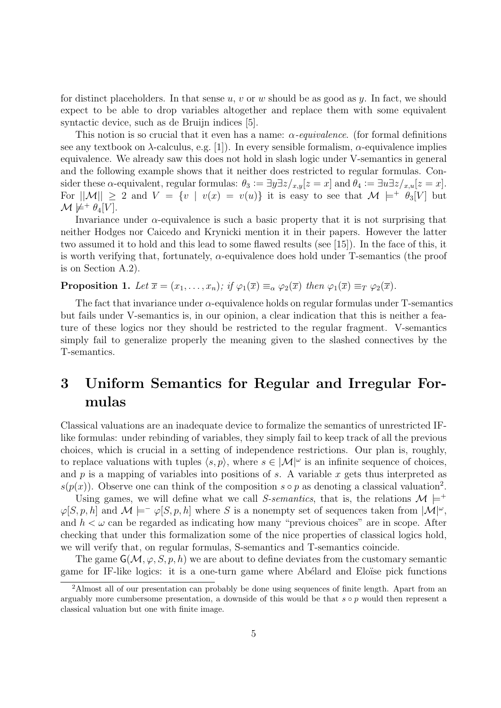for distinct placeholders. In that sense u, v or w should be as good as  $y$ . In fact, we should expect to be able to drop variables altogether and replace them with some equivalent syntactic device, such as de Bruijn indices [5].

This notion is so crucial that it even has a name:  $\alpha$ -equivalence. (for formal definitions see any textbook on  $\lambda$ -calculus, e.g. [1]). In every sensible formalism,  $\alpha$ -equivalence implies equivalence. We already saw this does not hold in slash logic under V-semantics in general and the following example shows that it neither does restricted to regular formulas. Consider these  $\alpha$ -equivalent, regular formulas:  $\theta_3 := \exists y \exists z /_{x,y} [z = x]$  and  $\theta_4 := \exists u \exists z /_{x,y} [z = x]$ . For  $||\mathcal{M}|| \geq 2$  and  $V = \{v \mid v(x) = v(u)\}\$ it is easy to see that  $\mathcal{M} \models^+ \theta_3[V]$  but  $\mathcal{M} \not\models^+ \theta_4[V]$ .

Invariance under  $\alpha$ -equivalence is such a basic property that it is not surprising that neither Hodges nor Caicedo and Krynicki mention it in their papers. However the latter two assumed it to hold and this lead to some flawed results (see [15]). In the face of this, it is worth verifying that, fortunately,  $\alpha$ -equivalence does hold under T-semantics (the proof is on Section A.2).

**Proposition 1.** Let  $\overline{x} = (x_1, \ldots, x_n)$ ; if  $\varphi_1(\overline{x}) \equiv_\alpha \varphi_2(\overline{x})$  then  $\varphi_1(\overline{x}) \equiv_T \varphi_2(\overline{x})$ .

The fact that invariance under  $\alpha$ -equivalence holds on regular formulas under T-semantics but fails under V-semantics is, in our opinion, a clear indication that this is neither a feature of these logics nor they should be restricted to the regular fragment. V-semantics simply fail to generalize properly the meaning given to the slashed connectives by the T-semantics.

# 3 Uniform Semantics for Regular and Irregular Formulas

Classical valuations are an inadequate device to formalize the semantics of unrestricted IFlike formulas: under rebinding of variables, they simply fail to keep track of all the previous choices, which is crucial in a setting of independence restrictions. Our plan is, roughly, to replace valuations with tuples  $\langle s, p \rangle$ , where  $s \in |\mathcal{M}|^{\omega}$  is an infinite sequence of choices, and  $p$  is a mapping of variables into positions of  $s$ . A variable  $x$  gets thus interpreted as  $s(p(x))$ . Observe one can think of the composition  $s \circ p$  as denoting a classical valuation<sup>2</sup>.

Using games, we will define what we call S-semantics, that is, the relations  $\mathcal{M} \models^{+}$  $\varphi[S, p, h]$  and  $\mathcal{M} \models^{\perp} \varphi[S, p, h]$  where S is a nonempty set of sequences taken from  $|\mathcal{M}|^{\omega}$ , and  $h < \omega$  can be regarded as indicating how many "previous choices" are in scope. After checking that under this formalization some of the nice properties of classical logics hold, we will verify that, on regular formulas, S-semantics and T-semantics coincide.

The game  $\mathsf{G}(\mathcal{M}, \varphi, S, p, h)$  we are about to define deviates from the customary semantic game for IF-like logics: it is a one-turn game where Abélard and Eloïse pick functions

<sup>2</sup>Almost all of our presentation can probably be done using sequences of finite length. Apart from an arguably more cumbersome presentation, a downside of this would be that  $s \circ p$  would then represent a classical valuation but one with finite image.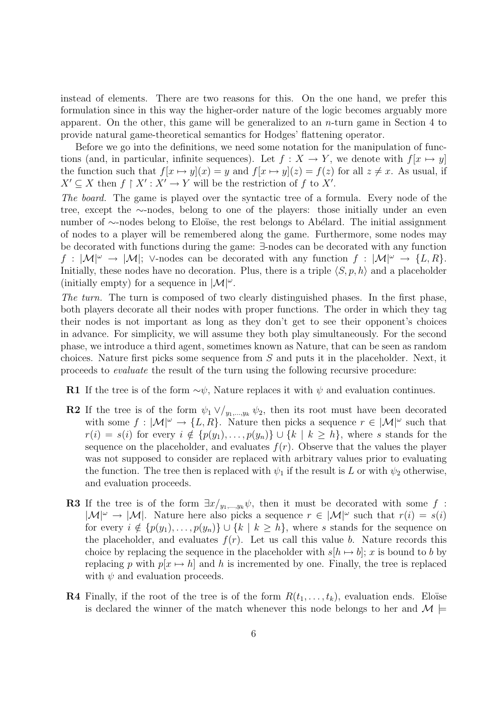instead of elements. There are two reasons for this. On the one hand, we prefer this formulation since in this way the higher-order nature of the logic becomes arguably more apparent. On the other, this game will be generalized to an  $n$ -turn game in Section 4 to provide natural game-theoretical semantics for Hodges' flattening operator.

Before we go into the definitions, we need some notation for the manipulation of functions (and, in particular, infinite sequences). Let  $f : X \to Y$ , we denote with  $f[x \mapsto y]$ the function such that  $f[x \mapsto y](x) = y$  and  $f[x \mapsto y](z) = f(z)$  for all  $z \neq x$ . As usual, if  $X' \subseteq X$  then  $f \upharpoonright X' : X' \to Y$  will be the restriction of f to X'.

The board. The game is played over the syntactic tree of a formula. Every node of the tree, except the ∼-nodes, belong to one of the players: those initially under an even number of ∼-nodes belong to Eloïse, the rest belongs to Abélard. The initial assignment of nodes to a player will be remembered along the game. Furthermore, some nodes may be decorated with functions during the game: ∃-nodes can be decorated with any function  $f : |\mathcal{M}|^{\omega} \to |\mathcal{M}|$ ;  $\vee$ -nodes can be decorated with any function  $f : |\mathcal{M}|^{\omega} \to \{L, R\}.$ Initially, these nodes have no decoration. Plus, there is a triple  $\langle S, p, h \rangle$  and a placeholder (initially empty) for a sequence in  $|\mathcal{M}|^{\omega}$ .

The turn. The turn is composed of two clearly distinguished phases. In the first phase, both players decorate all their nodes with proper functions. The order in which they tag their nodes is not important as long as they don't get to see their opponent's choices in advance. For simplicity, we will assume they both play simultaneously. For the second phase, we introduce a third agent, sometimes known as Nature, that can be seen as random choices. Nature first picks some sequence from S and puts it in the placeholder. Next, it proceeds to evaluate the result of the turn using the following recursive procedure:

R1 If the tree is of the form  $\sim \psi$ , Nature replaces it with  $\psi$  and evaluation continues.

- **R2** If the tree is of the form  $\psi_1 \vee \psi_2$ , then its root must have been decorated with some  $f: |\mathcal{M}|^{\omega} \to \{L, R\}$ . Nature then picks a sequence  $r \in |\mathcal{M}|^{\omega}$  such that  $r(i) = s(i)$  for every  $i \notin \{p(y_1), \ldots, p(y_n)\} \cup \{k \mid k \geq h\}$ , where s stands for the sequence on the placeholder, and evaluates  $f(r)$ . Observe that the values the player was not supposed to consider are replaced with arbitrary values prior to evaluating the function. The tree then is replaced with  $\psi_1$  if the result is L or with  $\psi_2$  otherwise, and evaluation proceeds.
- **R3** If the tree is of the form  $\exists x/y_1,...,y_k}$ , then it must be decorated with some f :  $|\mathcal{M}|^{\omega} \to |\mathcal{M}|$ . Nature here also picks a sequence  $r \in |\mathcal{M}|^{\omega}$  such that  $r(i) = s(i)$ for every  $i \notin \{p(y_1), \ldots, p(y_n)\} \cup \{k \mid k \geq h\}$ , where s stands for the sequence on the placeholder, and evaluates  $f(r)$ . Let us call this value b. Nature records this choice by replacing the sequence in the placeholder with  $s[h \mapsto b]$ ; x is bound to b by replacing p with  $p[x \mapsto h]$  and h is incremented by one. Finally, the tree is replaced with  $\psi$  and evaluation proceeds.
- **R4** Finally, if the root of the tree is of the form  $R(t_1, \ldots, t_k)$ , evaluation ends. Eloïse is declared the winner of the match whenever this node belongs to her and  $\mathcal{M} \models$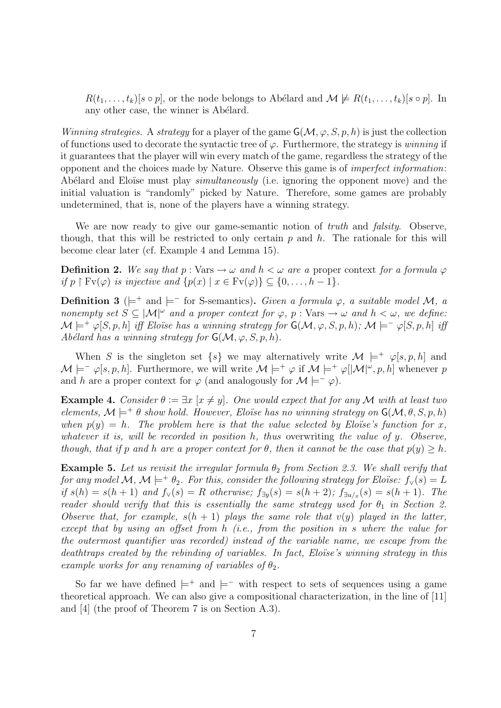$R(t_1, \ldots, t_k)[s \circ p]$ , or the node belongs to Abélard and  $\mathcal{M} \not\models R(t_1, \ldots, t_k)[s \circ p]$ . In any other case, the winner is Abélard.

Winning strategies. A strategy for a player of the game  $\mathsf{G}(\mathcal{M}, \varphi, S, p, h)$  is just the collection of functions used to decorate the syntactic tree of  $\varphi$ . Furthermore, the strategy is winning if it guarantees that the player will win every match of the game, regardless the strategy of the opponent and the choices made by Nature. Observe this game is of imperfect information: Abélard and Eloïse must play *simultaneously* (i.e. ignoring the opponent move) and the initial valuation is "randomly" picked by Nature. Therefore, some games are probably undetermined, that is, none of the players have a winning strategy.

We are now ready to give our game-semantic notion of *truth* and *falsity*. Observe, though, that this will be restricted to only certain  $p$  and  $h$ . The rationale for this will become clear later (cf. Example 4 and Lemma 15).

**Definition 2.** We say that  $p : \text{Vars} \to \omega$  and  $h < \omega$  are a proper context for a formula  $\varphi$ if p  $\restriction$  Fv( $\varphi$ ) is injective and  $\{p(x) \mid x \in \mathrm{Fv}(\varphi)\} \subset \{0, \ldots, h-1\}.$ 

Definition 3 ( $\models^+$  and  $\models^-$  for S-semantics). Given a formula  $\varphi$ , a suitable model M, a nonempty set  $S \subseteq |\mathcal{M}|^{\omega}$  and a proper context for  $\varphi$ , p : Vars  $\rightarrow \omega$  and  $h < \omega$ , we define:  $\mathcal{M} \models^+ \varphi[S, p, h]$  iff Eloïse has a winning strategy for  $\mathsf{G}(\mathcal{M}, \varphi, S, p, h)$ ;  $\mathcal{M} \models^- \varphi[S, p, h]$  iff Abélard has a winning strategy for  $G(\mathcal{M}, \varphi, S, p, h)$ .

When S is the singleton set  $\{s\}$  we may alternatively write  $\mathcal{M} \models^+ \varphi[s, p, h]$  and  $\mathcal{M} \models^+ \varphi[s, p, h]$ . Furthermore, we will write  $\mathcal{M} \models^+ \varphi$  if  $\mathcal{M} \models^+ \varphi[|\mathcal{M}|^\omega, p, h]$  whenever p and h are a proper context for  $\varphi$  (and analogously for  $\mathcal{M} \models^- \varphi$ ).

**Example 4.** Consider  $\theta := \exists x \ [x \neq y]$ . One would expect that for any M with at least two elements,  $\mathcal{M} \models^+ \theta$  show hold. However, Eloïse has no winning strategy on  $\mathsf{G}(\mathcal{M}, \theta, S, p, h)$ when  $p(y) = h$ . The problem here is that the value selected by Eloïse's function for x, whatever it is, will be recorded in position  $h$ , thus overwriting the value of  $y$ . Observe, though, that if p and h are a proper context for  $\theta$ , then it cannot be the case that  $p(y) > h$ .

Example 5. Let us revisit the irregular formula  $\theta_2$  from Section 2.3. We shall verify that for any model M, M  $\models^+ \theta_2$ . For this, consider the following strategy for Eloïse:  $f_\vee(s) = L$ if  $s(h) = s(h+1)$  and  $f_{\vee}(s) = R$  otherwise;  $f_{\exists y}(s) = s(h+2)$ ;  $f_{\exists u/x}(s) = s(h+1)$ . The reader should verify that this is essentially the same strategy used for  $\theta_1$  in Section 2. Observe that, for example,  $s(h + 1)$  plays the same role that  $v(y)$  played in the latter, except that by using an offset from h (i.e., from the position in s where the value for the outermost quantifier was recorded) instead of the variable name, we escape from the deathtraps created by the rebinding of variables. In fact, Eloïse's winning strategy in this example works for any renaming of variables of  $\theta_2$ .

So far we have defined  $\models^+$  and  $\models^-$  with respect to sets of sequences using a game theoretical approach. We can also give a compositional characterization, in the line of [11] and [4] (the proof of Theorem 7 is on Section A.3).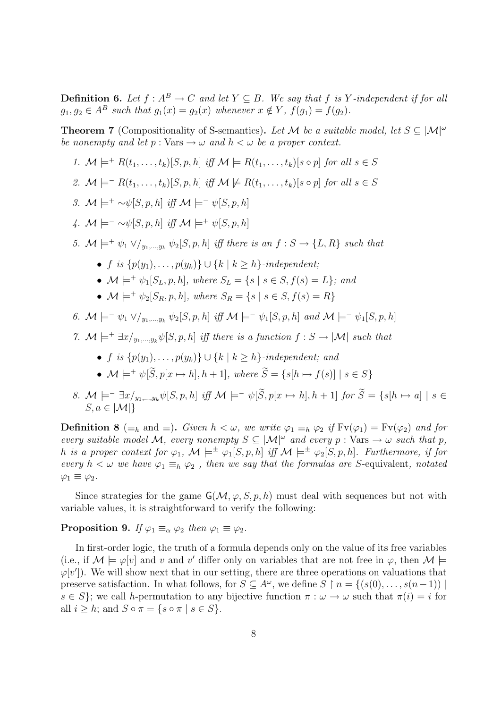**Definition 6.** Let  $f : A^B \to C$  and let  $Y \subseteq B$ . We say that f is Y-independent if for all  $g_1, g_2 \in A^B$  such that  $g_1(x) = g_2(x)$  whenever  $x \notin Y$ ,  $f(g_1) = f(g_2)$ .

**Theorem 7** (Compositionality of S-semantics). Let M be a suitable model, let  $S \subseteq |\mathcal{M}|^{\omega}$ be nonempty and let  $p : \text{Vars} \to \omega$  and  $h < \omega$  be a proper context.

- 1.  $\mathcal{M} \models^+ R(t_1,\ldots,t_k)[S,p,h]$  iff  $\mathcal{M} \models R(t_1,\ldots,t_k)[s \circ p]$  for all  $s \in S$
- 2.  $\mathcal{M} \models^{-} R(t_1, \ldots, t_k)[S, p, h]$  iff  $\mathcal{M} \not\models R(t_1, \ldots, t_k)[s \circ p]$  for all  $s \in S$
- 3.  $\mathcal{M} \models^+ \sim \psi[S, p, h]$  iff  $\mathcal{M} \models^- \psi[S, p, h]$
- 4.  $\mathcal{M} \models^- \sim \psi[S, p, h]$  iff  $\mathcal{M} \models^+ \psi[S, p, h]$
- 5.  $\mathcal{M} \models^+ \psi_1 \vee \big\downarrow_{y_1,\dots,y_k} \psi_2[S, p, h]$  iff there is an  $f : S \to \{L, R\}$  such that
	- f is  $\{p(y_1), \ldots, p(y_k)\} \cup \{k \mid k \geq h\}$ -independent:
	- $\mathcal{M} \models^+ \psi_1[S_L, p, h],$  where  $S_L = \{s \mid s \in S, f(s) = L\}$ ; and
	- $\mathcal{M} \models^+ \psi_2[S_R, p, h],$  where  $S_R = \{s \mid s \in S, f(s) = R\}$
- 6.  $\mathcal{M} \models^= \psi_1 \vee \big/_{y_1,\dots,y_k} \psi_2[S,p,h]$  iff  $\mathcal{M} \models^= \psi_1[S,p,h]$  and  $\mathcal{M} \models^= \psi_1[S,p,h]$
- 7.  $\mathcal{M} \models^+ \exists x/_{y_1,\dots,y_k} \psi[S, p, h]$  iff there is a function  $f : S \to |\mathcal{M}|$  such that
	- f is  $\{p(y_1), \ldots, p(y_k)\} \cup \{k \mid k \geq h\}$ -independent; and
	- $\mathcal{M} \models^+ \psi[\widetilde{S}, p[x \mapsto h], h+1]$ , where  $\widetilde{S} = \{s[h \mapsto f(s)] \mid s \in S\}$
- 8.  $\mathcal{M} \models^= \exists x/_{y_1,\dots,y_k} \psi[S, p, h]$  iff  $\mathcal{M} \models^= \psi[\widetilde{S}, p[x \mapsto h], h+1]$  for  $\widetilde{S} = \{s[h \mapsto a] \mid s \in$  $S, a \in |\mathcal{M}|$

**Definition 8** ( $\equiv_h$  and  $\equiv$ ). Given  $h < \omega$ , we write  $\varphi_1 \equiv_h \varphi_2$  if  $Fv(\varphi_1) = Fv(\varphi_2)$  and for every suitable model M, every nonempty  $S \subseteq |\mathcal{M}|^{\omega}$  and every p : Vars  $\rightarrow \omega$  such that p, h is a proper context for  $\varphi_1$ ,  $\mathcal{M} \models^{\pm} \varphi_1[S, p, h]$  iff  $\mathcal{M} \models^{\pm} \varphi_2[S, p, h]$ . Furthermore, if for every  $h < \omega$  we have  $\varphi_1 \equiv_h \varphi_2$ , then we say that the formulas are S-equivalent, notated  $\varphi_1 \equiv \varphi_2.$ 

Since strategies for the game  $\mathsf{G}(\mathcal{M}, \varphi, S, p, h)$  must deal with sequences but not with variable values, it is straightforward to verify the following:

**Proposition 9.** If  $\varphi_1 \equiv_\alpha \varphi_2$  then  $\varphi_1 \equiv \varphi_2$ .

In first-order logic, the truth of a formula depends only on the value of its free variables (i.e., if  $\mathcal{M} \models \varphi[v]$  and v and v' differ only on variables that are not free in  $\varphi$ , then  $\mathcal{M} \models$  $\varphi[v']$ ). We will show next that in our setting, there are three operations on valuations that preserve satisfaction. In what follows, for  $S \subseteq A^{\omega}$ , we define  $S \restriction n = \{(s(0), \ldots, s(n-1)) \mid$  $s \in S$ ; we call h-permutation to any bijective function  $\pi : \omega \to \omega$  such that  $\pi(i) = i$  for all  $i \geq h$ ; and  $S \circ \pi = \{s \circ \pi \mid s \in S\}.$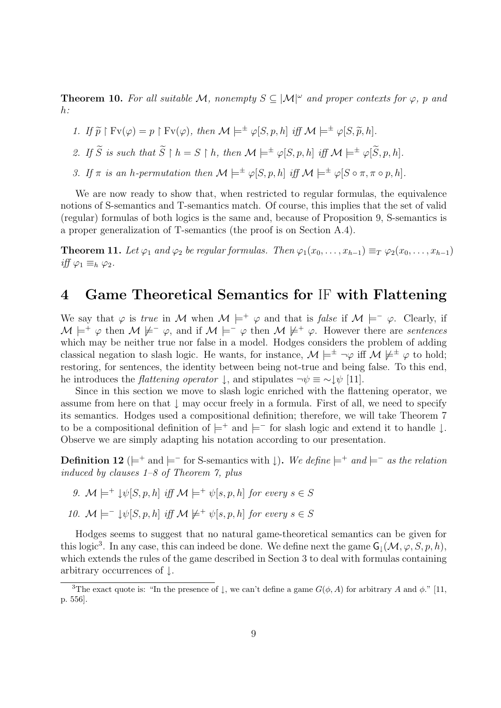**Theorem 10.** For all suitable M, nonempty  $S \subseteq |\mathcal{M}|^{\omega}$  and proper contexts for  $\varphi$ , p and  $h$ :

1. If  $\widetilde{p} \restriction F_v(\varphi) = p \restriction F_v(\varphi)$ , then  $\mathcal{M} \models^{\pm} \varphi[S, p, h]$  iff  $\mathcal{M} \models^{\pm} \varphi[S, \widetilde{p}, h]$ .

2. If  $\widetilde{S}$  is such that  $\widetilde{S} \restriction h = S \restriction h$ , then  $\mathcal{M} \models^{\pm} \varphi[S, p, h]$  iff  $\mathcal{M} \models^{\pm} \varphi[\widetilde{S}, p, h]$ .

3. If  $\pi$  is an h-permutation then  $\mathcal{M} \models^{\pm} \varphi[S, p, h]$  iff  $\mathcal{M} \models^{\pm} \varphi[S \circ \pi, \pi \circ p, h]$ .

We are now ready to show that, when restricted to regular formulas, the equivalence notions of S-semantics and T-semantics match. Of course, this implies that the set of valid (regular) formulas of both logics is the same and, because of Proposition 9, S-semantics is a proper generalization of T-semantics (the proof is on Section A.4).

**Theorem 11.** Let  $\varphi_1$  and  $\varphi_2$  be regular formulas. Then  $\varphi_1(x_0, \ldots, x_{h-1}) \equiv_T \varphi_2(x_0, \ldots, x_{h-1})$ iff  $\varphi_1 \equiv_h \varphi_2$ .

## 4 Game Theoretical Semantics for IF with Flattening

We say that  $\varphi$  is true in M when  $M \models^+ \varphi$  and that is false if  $M \models^- \varphi$ . Clearly, if  $\mathcal{M} \models^+ \varphi$  then  $\mathcal{M} \not\models^- \varphi$ , and if  $\mathcal{M} \models^- \varphi$  then  $\mathcal{M} \not\models^+ \varphi$ . However there are sentences which may be neither true nor false in a model. Hodges considers the problem of adding classical negation to slash logic. He wants, for instance,  $\mathcal{M} \models^{\pm} \neg \varphi$  iff  $\mathcal{M} \not\models^{\pm} \varphi$  to hold; restoring, for sentences, the identity between being not-true and being false. To this end, he introduces the *flattening operator*  $\downarrow$ , and stipulates  $\neg \psi \equiv \sim \downarrow \psi$  [11].

Since in this section we move to slash logic enriched with the flattening operator, we assume from here on that  $\downarrow$  may occur freely in a formula. First of all, we need to specify its semantics. Hodges used a compositional definition; therefore, we will take Theorem 7 to be a compositional definition of  $\models^+$  and  $\models^-$  for slash logic and extend it to handle  $\downarrow$ . Observe we are simply adapting his notation according to our presentation.

**Definition 12** ( $\models$ <sup>+</sup> and  $\models$ <sup>-</sup> for S-semantics with  $\downarrow$ ). We define  $\models$ <sup>+</sup> and  $\models$ <sup>-</sup> as the relation induced by clauses  $1-8$  of Theorem 7, plus

- 9.  $\mathcal{M} \models^+ \psi[S, p, h]$  iff  $\mathcal{M} \models^+ \psi[s, p, h]$  for every  $s \in S$
- 10.  $\mathcal{M} \models^{-} \psi[S, p, h]$  iff  $\mathcal{M} \not\models^{+} \psi[s, p, h]$  for every  $s \in S$

Hodges seems to suggest that no natural game-theoretical semantics can be given for this logic<sup>3</sup>. In any case, this can indeed be done. We define next the game  $\mathsf{G}_\downarrow(\mathcal{M}, \varphi, S, p, h)$ , which extends the rules of the game described in Section 3 to deal with formulas containing arbitrary occurrences of ↓.

<sup>&</sup>lt;sup>3</sup>The exact quote is: "In the presence of  $\downarrow$ , we can't define a game  $G(\phi, A)$  for arbitrary A and  $\phi$ ." [11, p. 556].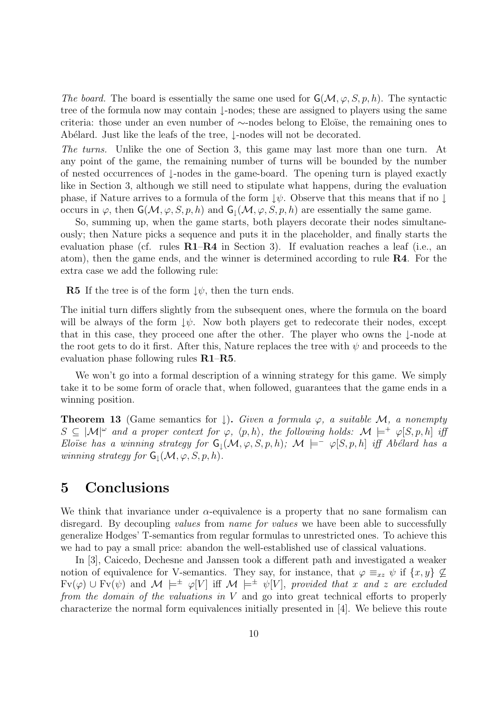The board. The board is essentially the same one used for  $\mathsf{G}(\mathcal{M}, \varphi, S, p, h)$ . The syntactic tree of the formula now may contain ↓-nodes; these are assigned to players using the same criteria: those under an even number of ∼-nodes belong to Eloïse, the remaining ones to Ab´elard. Just like the leafs of the tree, ↓-nodes will not be decorated.

The turns. Unlike the one of Section 3, this game may last more than one turn. At any point of the game, the remaining number of turns will be bounded by the number of nested occurrences of ↓-nodes in the game-board. The opening turn is played exactly like in Section 3, although we still need to stipulate what happens, during the evaluation phase, if Nature arrives to a formula of the form  $\downarrow \psi$ . Observe that this means that if no  $\downarrow$ occurs in  $\varphi$ , then  $\mathsf{G}(\mathcal{M}, \varphi, S, p, h)$  and  $\mathsf{G}_1(\mathcal{M}, \varphi, S, p, h)$  are essentially the same game.

So, summing up, when the game starts, both players decorate their nodes simultaneously; then Nature picks a sequence and puts it in the placeholder, and finally starts the evaluation phase (cf. rules  $R1-R4$  in Section 3). If evaluation reaches a leaf (i.e., an atom), then the game ends, and the winner is determined according to rule R4. For the extra case we add the following rule:

**R5** If the tree is of the form  $\downarrow \psi$ , then the turn ends.

The initial turn differs slightly from the subsequent ones, where the formula on the board will be always of the form  $\downarrow \psi$ . Now both players get to redecorate their nodes, except that in this case, they proceed one after the other. The player who owns the ↓-node at the root gets to do it first. After this, Nature replaces the tree with  $\psi$  and proceeds to the evaluation phase following rules R1–R5.

We won't go into a formal description of a winning strategy for this game. We simply take it to be some form of oracle that, when followed, guarantees that the game ends in a winning position.

**Theorem 13** (Game semantics for  $\downarrow$ ). Given a formula  $\varphi$ , a suitable M, a nonempty  $S \subseteq |\mathcal{M}|^{\omega}$  and a proper context for  $\varphi$ ,  $\langle p, h \rangle$ , the following holds:  $\mathcal{M} \models^+ \varphi[S, p, h]$  iff Eloïse has a winning strategy for  $G_1(\mathcal{M}, \varphi, S, p, h)$ ;  $\mathcal{M} \models^-\varphi[S, p, h]$  iff Abélard has a winning strategy for  $G_1(\mathcal{M}, \varphi, S, p, h)$ .

## 5 Conclusions

We think that invariance under  $\alpha$ -equivalence is a property that no sane formalism can disregard. By decoupling *values* from *name for values* we have been able to successfully generalize Hodges' T-semantics from regular formulas to unrestricted ones. To achieve this we had to pay a small price: abandon the well-established use of classical valuations.

In [3], Caicedo, Dechesne and Janssen took a different path and investigated a weaker notion of equivalence for V-semantics. They say, for instance, that  $\varphi \equiv_{xz} \psi$  if  $\{x, y\} \not\subseteq$  $Fv(\varphi) \cup Fv(\psi)$  and  $\mathcal{M} \models^{\pm} \varphi[V]$  iff  $\mathcal{M} \models^{\pm} \psi[V]$ , provided that x and z are excluded from the domain of the valuations in V and go into great technical efforts to properly characterize the normal form equivalences initially presented in [4]. We believe this route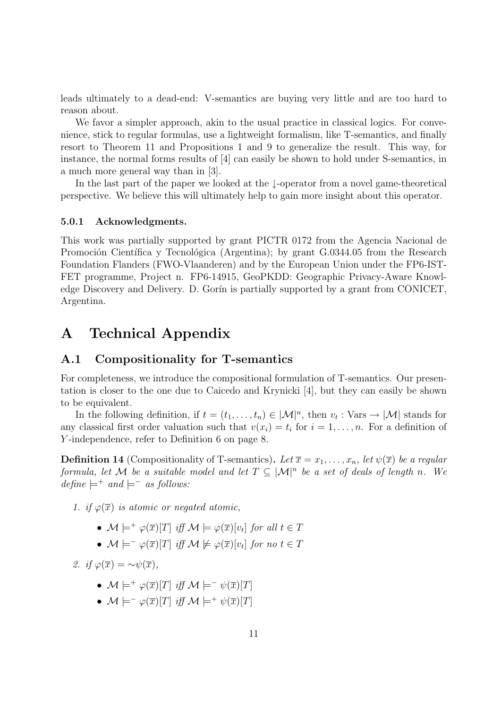leads ultimately to a dead-end: V-semantics are buying very little and are too hard to reason about.

We favor a simpler approach, akin to the usual practice in classical logics. For convenience, stick to regular formulas, use a lightweight formalism, like T-semantics, and finally resort to Theorem 11 and Propositions 1 and 9 to generalize the result. This way, for instance, the normal forms results of [4] can easily be shown to hold under S-semantics, in a much more general way than in [3].

In the last part of the paper we looked at the ↓-operator from a novel game-theoretical perspective. We believe this will ultimately help to gain more insight about this operator.

#### 5.0.1 Acknowledgments.

This work was partially supported by grant PICTR 0172 from the Agencia Nacional de Promoción Científica y Tecnológica (Argentina); by grant G.0344.05 from the Research Foundation Flanders (FWO-Vlaanderen) and by the European Union under the FP6-IST-FET programme, Project n. FP6-14915, GeoPKDD: Geographic Privacy-Aware Knowledge Discovery and Delivery. D. Gorín is partially supported by a grant from CONICET, Argentina.

### A Technical Appendix

### A.1 Compositionality for T-semantics

For completeness, we introduce the compositional formulation of T-semantics. Our presentation is closer to the one due to Caicedo and Krynicki [4], but they can easily be shown to be equivalent.

In the following definition, if  $t=(t_1,\ldots,t_n)\in |\mathcal{M}|^n$ , then  $v_t: \text{Vars} \to |\mathcal{M}|$  stands for any classical first order valuation such that  $v(x_i) = t_i$  for  $i = 1, \ldots, n$ . For a definition of Y -independence, refer to Definition 6 on page 8.

**Definition 14** (Compositionality of T-semantics). Let  $\overline{x} = x_1, \ldots, x_n$ , let  $\psi(\overline{x})$  be a regular formula, let M be a suitable model and let  $T \subseteq |\mathcal{M}|^n$  be a set of deals of length n. We  $define \models^+ and \models^- as follows:$ 

1. if  $\varphi(\overline{x})$  is atomic or negated atomic,

- $\mathcal{M} \models^+ \varphi(\overline{x})[T]$  iff  $\mathcal{M} \models \varphi(\overline{x})[v_t]$  for all  $t \in T$
- $\mathcal{M} \models^-\varphi(\overline{x})[T]$  iff  $\mathcal{M} \not\models \varphi(\overline{x})[v_t]$  for no  $t \in T$

2. if  $\varphi(\overline{x}) = \sim \psi(\overline{x})$ ,

- $\mathcal{M} \models^+ \varphi(\overline{x})[T]$  iff  $\mathcal{M} \models^- \psi(\overline{x})[T]$
- $\mathcal{M} \models^- \varphi(\overline{x})[T]$  iff  $\mathcal{M} \models^+ \psi(\overline{x})[T]$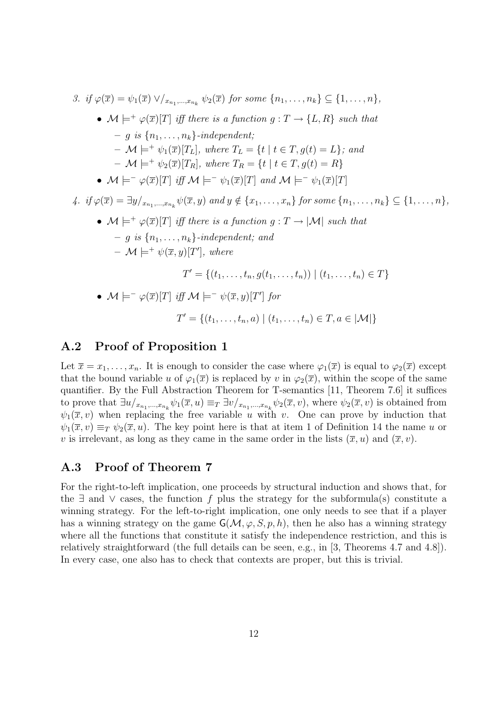3. if 
$$
\varphi(\overline{x}) = \psi_1(\overline{x}) \vee \vee_{x_{n_1},...,x_{n_k}} \psi_2(\overline{x})
$$
 for some  $\{n_1,...,n_k\} \subseteq \{1,...,n\}$ ,  
\n•  $\mathcal{M} \models^{\pm} \varphi(\overline{x})[T]$  iff there is a function  $g: T \rightarrow \{L, R\}$  such that  
\n $\vdash g$  is  $\{n_1,...,n_k\}$ -independent;  
\n $\vdash \mathcal{M} \models^{\pm} \psi_1(\overline{x})[T_L]$ , where  $T_L = \{t \mid t \in T, g(t) = L\}$ ; and  
\n $\vdash \mathcal{M} \models^{\pm} \psi_2(\overline{x})[T_R]$ , where  $T_R = \{t \mid t \in T, g(t) = R\}$   
\n•  $\mathcal{M} \models^{\pm} \varphi(\overline{x})[T]$  iff  $\mathcal{M} \models^{\pm} \psi_1(\overline{x})[T]$  and  $\mathcal{M} \models^{\pm} \psi_1(\overline{x})[T]$   
\n4. if  $\varphi(\overline{x}) = \exists y/x_{n_1,...,x_{n_k}} \psi(\overline{x}, y)$  and  $y \notin \{x_1,...,x_n\}$  for some  $\{n_1,...,n_k\} \subseteq \{1,...,n\}$ ,  
\n•  $\mathcal{M} \models^{\pm} \varphi(\overline{x})[T]$  iff there is a function  $g: T \rightarrow |\mathcal{M}|$  such that  
\n $\vdash g$  is  $\{n_1,...,n_k\}$ -independent; and  
\n $\vdash \mathcal{M} \models^{\pm} \psi(\overline{x}, y)[T']$ , where  
\n $T' = \{(t_1,...,t_n, g(t_1,...,t_n)) \mid (t_1,...,t_n) \in T\}$   
\n•  $\mathcal{M} \models^{\pm} \varphi(\overline{x})[T]$  iff  $\mathcal{M} \models^{\pm} \psi(\overline{x}, y)[T']$  for  
\n $T' = \{(t_1,...,t_n, a) \mid (t_1,...,t_n) \in T, a \in |\mathcal{M}|\}$ 

### A.2 Proof of Proposition 1

Let  $\overline{x} = x_1, \ldots, x_n$ . It is enough to consider the case where  $\varphi_1(\overline{x})$  is equal to  $\varphi_2(\overline{x})$  except that the bound variable u of  $\varphi_1(\overline{x})$  is replaced by v in  $\varphi_2(\overline{x})$ , within the scope of the same quantifier. By the Full Abstraction Theorem for T-semantics [11, Theorem 7.6] it suffices to prove that  $\exists u/_{x_{n_1},...,x_{n_k}} \psi_1(\overline{x},u) \equiv_T \exists v/_{x_{n_1},...,x_{n_k}} \psi_2(\overline{x},v)$ , where  $\psi_2(\overline{x},v)$  is obtained from  $\psi_1(\overline{x}, v)$  when replacing the free variable u with v. One can prove by induction that  $\psi_1(\overline{x}, v) \equiv_T \psi_2(\overline{x}, u)$ . The key point here is that at item 1 of Definition 14 the name u or v is irrelevant, as long as they came in the same order in the lists  $(\bar{x}, u)$  and  $(\bar{x}, v)$ .

### A.3 Proof of Theorem 7

For the right-to-left implication, one proceeds by structural induction and shows that, for the  $\exists$  and  $\vee$  cases, the function f plus the strategy for the subformula(s) constitute a winning strategy. For the left-to-right implication, one only needs to see that if a player has a winning strategy on the game  $\mathsf{G}(\mathcal{M}, \varphi, S, p, h)$ , then he also has a winning strategy where all the functions that constitute it satisfy the independence restriction, and this is relatively straightforward (the full details can be seen, e.g., in [3, Theorems 4.7 and 4.8]). In every case, one also has to check that contexts are proper, but this is trivial.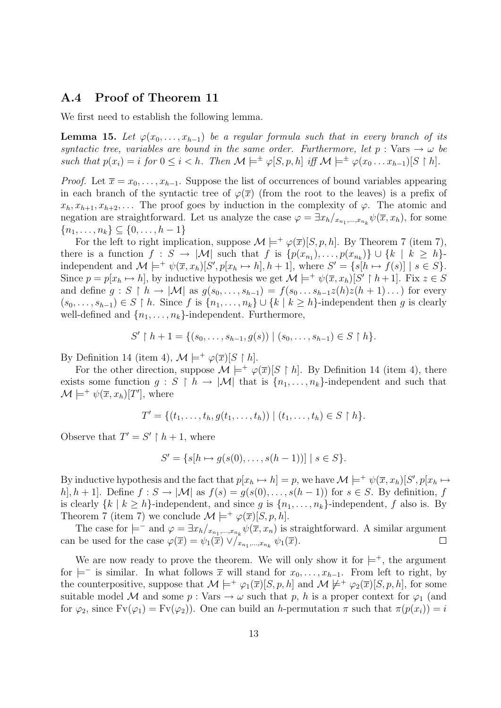### A.4 Proof of Theorem 11

We first need to establish the following lemma.

**Lemma 15.** Let  $\varphi(x_0, \ldots, x_{h-1})$  be a regular formula such that in every branch of its syntactic tree, variables are bound in the same order. Furthermore, let  $p : \text{Vars} \to \omega$  be such that  $p(x_i) = i$  for  $0 \leq i < h$ . Then  $\mathcal{M} \models^{\pm} \varphi[S, p, h]$  iff  $\mathcal{M} \models^{\pm} \varphi(x_0 \dots x_{h-1})[S \restriction h]$ .

*Proof.* Let  $\overline{x} = x_0, \ldots, x_{h-1}$ . Suppose the list of occurrences of bound variables appearing in each branch of the syntactic tree of  $\varphi(\overline{x})$  (from the root to the leaves) is a prefix of  $x_h, x_{h+1}, x_{h+2}, \ldots$  The proof goes by induction in the complexity of  $\varphi$ . The atomic and negation are straightforward. Let us analyze the case  $\varphi = \exists x_h /_{x_{n_1},...,x_{n_k}} \psi(\overline{x}, x_h)$ , for some  ${n_1, \ldots, n_k} \subseteq \{0, \ldots, h-1\}$ 

For the left to right implication, suppose  $\mathcal{M} \models^+ \varphi(\overline{x})[S, p, h]$ . By Theorem 7 (item 7), there is a function  $f: S \to |\mathcal{M}|$  such that  $f$  is  $\{p(x_{n_1}), \ldots, p(x_{n_k})\} \cup \{k \mid k \geq h\}$ independent and  $\mathcal{M} \models^+ \psi(\overline{x}, x_h)[S', p[x_h \mapsto h], h+1]$ , where  $S' = \{s[h \mapsto f(s)] \mid s \in S\}$ . Since  $p = p[x_h \mapsto h]$ , by inductive hypothesis we get  $\mathcal{M} \models^+ \psi(\overline{x}, x_h)[S' \upharpoonright h+1]$ . Fix  $z \in S$ and define  $g: S \restriction h \to |\mathcal{M}|$  as  $g(s_0, \ldots, s_{h-1}) = f(s_0 \ldots s_{h-1} z(h) z(h+1) \ldots)$  for every  $(s_0, \ldots, s_{h-1}) \in S \restriction h$ . Since f is  $\{n_1, \ldots, n_k\} \cup \{k \mid k \ge h\}$ -independent then g is clearly well-defined and  $\{n_1, \ldots, n_k\}$ -independent. Furthermore,

$$
S' \upharpoonright h + 1 = \{ (s_0, \ldots, s_{h-1}, g(s)) \mid (s_0, \ldots, s_{h-1}) \in S \upharpoonright h \}.
$$

By Definition 14 (item 4),  $\mathcal{M} \models^+ \varphi(\overline{x})[S \restriction h].$ 

For the other direction, suppose  $\mathcal{M} \models^+ \varphi(\overline{x})[S \restriction h]$ . By Definition 14 (item 4), there exists some function  $g : S \restriction h \to |\mathcal{M}|$  that is  $\{n_1, \ldots, n_k\}$ -independent and such that  $\mathcal{M} \models^+ \psi(\overline{x}, x_h)[T']$ , where

$$
T' = \{(t_1, \ldots, t_h, g(t_1, \ldots, t_h)) \mid (t_1, \ldots, t_h) \in S \restriction h\}.
$$

Observe that  $T' = S' \restriction h + 1$ , where

$$
S' = \{s[h \mapsto g(s(0), \dots, s(h-1))] \mid s \in S\}.
$$

By inductive hypothesis and the fact that  $p[x_h \mapsto h] = p$ , we have  $\mathcal{M} \models^+ \psi(\overline{x}, x_h)[S', p[x_h \mapsto$ h, h + 1. Define  $f: S \to |\mathcal{M}|$  as  $f(s) = g(s(0), \ldots, s(h-1))$  for  $s \in S$ . By definition, f is clearly  $\{k \mid k \geq h\}$ -independent, and since g is  $\{n_1, \ldots, n_k\}$ -independent, f also is. By Theorem 7 (item 7) we conclude  $\mathcal{M} \models^+ \varphi(\overline{x})[S, p, h].$ 

The case for  $\models^-$  and  $\varphi = \exists x_h/_{x_{n_1},...,x_{n_k}} \psi(\overline{x}, x_n)$  is straightforward. A similar argument can be used for the case  $\varphi(\overline{x}) = \psi_1(\overline{x}) \vee /_{x_{n_1},...,x_{n_k}} \psi_1(\overline{x})$ .  $\Box$ 

We are now ready to prove the theorem. We will only show it for  $\models^+$ , the argument for  $\models^-$  is similar. In what follows  $\overline{x}$  will stand for  $x_0, \ldots, x_{h-1}$ . From left to right, by the counterpositive, suppose that  $\mathcal{M} \models^+ \varphi_1(\overline{x})[S, p, h]$  and  $\mathcal{M} \not\models^+ \varphi_2(\overline{x})[S, p, h]$ , for some suitable model M and some  $p : \text{Vars} \to \omega$  such that p, h is a proper context for  $\varphi_1$  (and for  $\varphi_2$ , since  $Fv(\varphi_1) = Fv(\varphi_2)$ . One can build an h-permutation  $\pi$  such that  $\pi(p(x_i)) = i$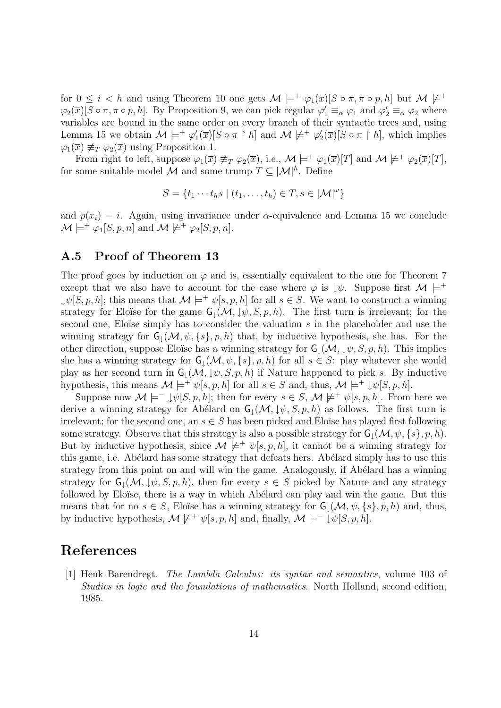for  $0 \leq i < h$  and using Theorem 10 one gets  $\mathcal{M} \models^+ \varphi_1(\overline{x})[S \circ \pi, \pi \circ p, h]$  but  $\mathcal{M} \not\models^+$  $\varphi_2(\overline{x})[S \circ \pi, \pi \circ p, h]$ . By Proposition 9, we can pick regular  $\varphi'_1 \equiv_\alpha \varphi_1$  and  $\varphi'_2 \equiv_\alpha \varphi_2$  where variables are bound in the same order on every branch of their syntactic trees and, using Lemma 15 we obtain  $\mathcal{M} \models^+ \varphi_1'(\overline{x})[S \circ \pi \upharpoonright h]$  and  $\mathcal{M} \not\models^+ \varphi_2'(\overline{x})[S \circ \pi \upharpoonright h]$ , which implies  $\varphi_1(\overline{x}) \not\equiv_T \varphi_2(\overline{x})$  using Proposition 1.

From right to left, suppose  $\varphi_1(\overline{x}) \not\equiv_T \varphi_2(\overline{x})$ , i.e.,  $\mathcal{M} \models^+ \varphi_1(\overline{x})[T]$  and  $\mathcal{M} \not\models^+ \varphi_2(\overline{x})[T]$ , for some suitable model M and some trump  $T \subseteq |\mathcal{M}|^h$ . Define

$$
S = \{t_1 \cdots t_h s \mid (t_1, \ldots, t_h) \in T, s \in |\mathcal{M}|^{\omega}\}\
$$

and  $p(x_i) = i$ . Again, using invariance under  $\alpha$ -equivalence and Lemma 15 we conclude  $\mathcal{M} \models^+ \varphi_1[S, p, n]$  and  $\mathcal{M} \not\models^+ \varphi_2[S, p, n]$ .

### A.5 Proof of Theorem 13

The proof goes by induction on  $\varphi$  and is, essentially equivalent to the one for Theorem 7 except that we also have to account for the case where  $\varphi$  is  $\downarrow \psi$ . Suppose first  $\mathcal{M} \models^{+}$  $\downarrow \psi[S, p, h];$  this means that  $\mathcal{M} \models^+ \psi[s, p, h]$  for all  $s \in S$ . We want to construct a winning strategy for Eloïse for the game  $\mathsf{G}_1(\mathcal{M}, \downarrow \psi, S, p, h)$ . The first turn is irrelevant; for the second one, Eloïse simply has to consider the valuation  $s$  in the placeholder and use the winning strategy for  $G_1(\mathcal{M}, \psi, \{s\}, p, h)$  that, by inductive hypothesis, she has. For the other direction, suppose Eloïse has a winning strategy for  $\mathsf{G}_1(\mathcal{M}, \downarrow \psi, S, p, h)$ . This implies she has a winning strategy for  $G_1(\mathcal{M}, \psi, \{s\}, p, h)$  for all  $s \in S$ : play whatever she would play as her second turn in  $\mathsf{G}_1(\mathcal{M}, \downarrow \psi, S, p, h)$  if Nature happened to pick s. By inductive hypothesis, this means  $\mathcal{M} \models^+ \psi[s, p, h]$  for all  $s \in S$  and, thus,  $\mathcal{M} \models^+ \psi[S, p, h]$ .

Suppose now  $\mathcal{M} \models^- \downarrow \psi[S, p, h]$ ; then for every  $s \in S$ ,  $\mathcal{M} \not\models^+ \psi[s, p, h]$ . From here we derive a winning strategy for Abélard on  $G<sub>1</sub>(M, \downarrow \psi, S, p, h)$  as follows. The first turn is irrelevant; for the second one, an  $s \in S$  has been picked and Eloïse has played first following some strategy. Observe that this strategy is also a possible strategy for  $G_1(\mathcal{M}, \psi, \{s\}, p, h)$ . But by inductive hypothesis, since  $\mathcal{M} \not\models^+ \psi[s, p, h]$ , it cannot be a winning strategy for this game, i.e. Abélard has some strategy that defeats hers. Abélard simply has to use this strategy from this point on and will win the game. Analogously, if Abélard has a winning strategy for  $\mathsf{G}_1(\mathcal{M}, \downarrow \psi, S, p, h)$ , then for every  $s \in S$  picked by Nature and any strategy followed by Eloïse, there is a way in which Abélard can play and win the game. But this means that for no  $s \in S$ , Eloïse has a winning strategy for  $\mathsf{G}_1(\mathcal{M}, \psi, \{s\}, p, h)$  and, thus, by inductive hypothesis,  $\mathcal{M} \not\models^+ \psi[s, p, h]$  and, finally,  $\mathcal{M} \models^- \psi[s, p, h]$ .

# References

[1] Henk Barendregt. The Lambda Calculus: its syntax and semantics, volume 103 of Studies in logic and the foundations of mathematics. North Holland, second edition, 1985.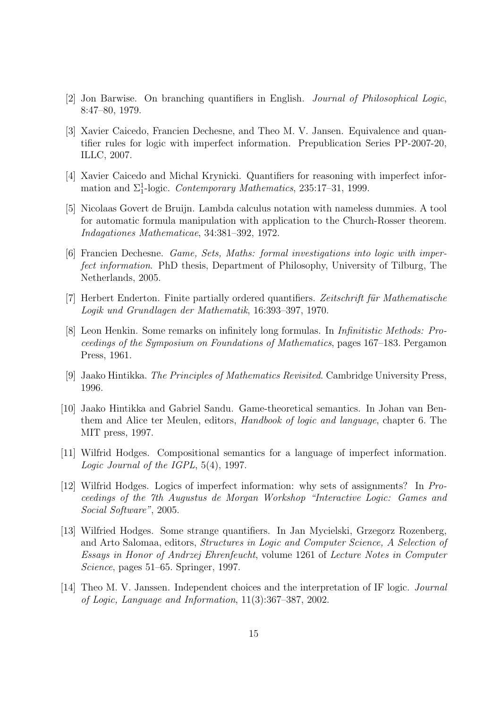- [2] Jon Barwise. On branching quantifiers in English. Journal of Philosophical Logic, 8:47–80, 1979.
- [3] Xavier Caicedo, Francien Dechesne, and Theo M. V. Jansen. Equivalence and quantifier rules for logic with imperfect information. Prepublication Series PP-2007-20, ILLC, 2007.
- [4] Xavier Caicedo and Michal Krynicki. Quantifiers for reasoning with imperfect information and  $\Sigma_1^1$ -logic. Contemporary Mathematics, 235:17-31, 1999.
- [5] Nicolaas Govert de Bruijn. Lambda calculus notation with nameless dummies. A tool for automatic formula manipulation with application to the Church-Rosser theorem. Indagationes Mathematicae, 34:381–392, 1972.
- [6] Francien Dechesne. Game, Sets, Maths: formal investigations into logic with imperfect information. PhD thesis, Department of Philosophy, University of Tilburg, The Netherlands, 2005.
- [7] Herbert Enderton. Finite partially ordered quantifiers. Zeitschrift für Mathematische Logik und Grundlagen der Mathematik, 16:393–397, 1970.
- [8] Leon Henkin. Some remarks on infinitely long formulas. In Infinitistic Methods: Proceedings of the Symposium on Foundations of Mathematics, pages 167–183. Pergamon Press, 1961.
- [9] Jaako Hintikka. The Principles of Mathematics Revisited. Cambridge University Press, 1996.
- [10] Jaako Hintikka and Gabriel Sandu. Game-theoretical semantics. In Johan van Benthem and Alice ter Meulen, editors, Handbook of logic and language, chapter 6. The MIT press, 1997.
- [11] Wilfrid Hodges. Compositional semantics for a language of imperfect information. Logic Journal of the IGPL, 5(4), 1997.
- [12] Wilfrid Hodges. Logics of imperfect information: why sets of assignments? In Proceedings of the 7th Augustus de Morgan Workshop "Interactive Logic: Games and Social Software", 2005.
- [13] Wilfried Hodges. Some strange quantifiers. In Jan Mycielski, Grzegorz Rozenberg, and Arto Salomaa, editors, Structures in Logic and Computer Science, A Selection of Essays in Honor of Andrzej Ehrenfeucht, volume 1261 of Lecture Notes in Computer Science, pages 51–65. Springer, 1997.
- [14] Theo M. V. Janssen. Independent choices and the interpretation of IF logic. Journal of Logic, Language and Information, 11(3):367–387, 2002.